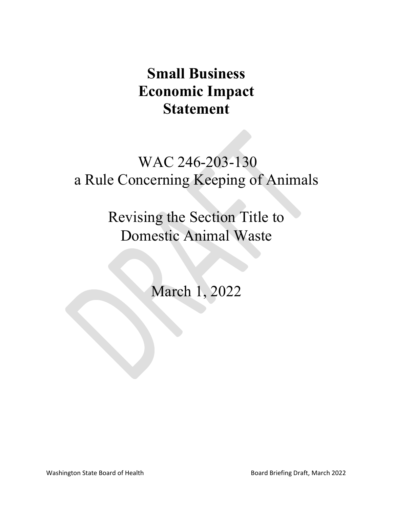# **Small Business Economic Impact Statement**

# WAC 246-203-130 a Rule Concerning Keeping of Animals

Revising the Section Title to Domestic Animal Waste

March 1, 2022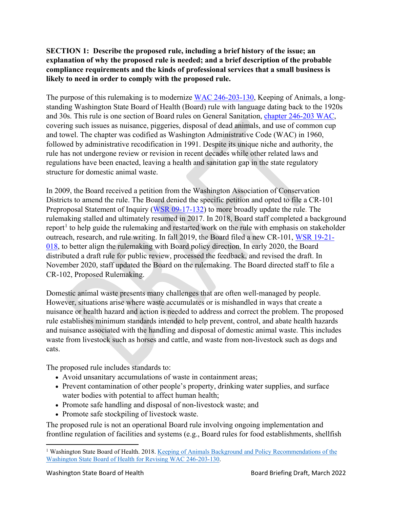## **SECTION 1: Describe the proposed rule, including a brief history of the issue; an explanation of why the proposed rule is needed; and a brief description of the probable compliance requirements and the kinds of professional services that a small business is likely to need in order to comply with the proposed rule.**

The purpose of this rulemaking is to modernize [WAC 246-203-130,](https://apps.leg.wa.gov/WAC/default.aspx?cite=246-203-130) Keeping of Animals, a longstanding Washington State Board of Health (Board) rule with language dating back to the 1920s and 30s. This rule is one section of Board rules on General Sanitation, [chapter 246-203 WAC,](https://app.leg.wa.gov/wac/default.aspx?cite=246-203) covering such issues as nuisance, piggeries, disposal of dead animals, and use of common cup and towel. The chapter was codified as Washington Administrative Code (WAC) in 1960, followed by administrative recodification in 1991. Despite its unique niche and authority, the rule has not undergone review or revision in recent decades while other related laws and regulations have been enacted, leaving a health and sanitation gap in the state regulatory structure for domestic animal waste.

In 2009, the Board received a petition from the Washington Association of Conservation Districts to amend the rule. The Board denied the specific petition and opted to file a CR-101 Preproposal Statement of Inquiry [\(WSR 09-17-132\)](http://apps.leg.wa.gov/documents/laws/wsr/2009/17%5C09-17-132.htm) to more broadly update the rule. The rulemaking stalled and ultimately resumed in 2017. In 2018, Board staff completed a background report<sup>[1](#page-1-0)</sup> to help guide the rulemaking and restarted work on the rule with emphasis on stakeholder outreach, research, and rule writing. In fall 2019, the Board filed a new CR-101, [WSR 19-21-](http://lawfilesext.leg.wa.gov/law/wsr/2019/21/19-21-018.htm) [018,](http://lawfilesext.leg.wa.gov/law/wsr/2019/21/19-21-018.htm) to better align the rulemaking with Board policy direction. In early 2020, the Board distributed a draft rule for public review, processed the feedback, and revised the draft. In November 2020, staff updated the Board on the rulemaking. The Board directed staff to file a CR-102, Proposed Rulemaking.

Domestic animal waste presents many challenges that are often well-managed by people. However, situations arise where waste accumulates or is mishandled in ways that create a nuisance or health hazard and action is needed to address and correct the problem. The proposed rule establishes minimum standards intended to help prevent, control, and abate health hazards and nuisance associated with the handling and disposal of domestic animal waste. This includes waste from livestock such as horses and cattle, and waste from non-livestock such as dogs and cats.

The proposed rule includes standards to:

- Avoid unsanitary accumulations of waste in containment areas;
- Prevent contamination of other people's property, drinking water supplies, and surface water bodies with potential to affect human health;
- Promote safe handling and disposal of non-livestock waste; and
- Promote safe stockpiling of livestock waste.

The proposed rule is not an operational Board rule involving ongoing implementation and frontline regulation of facilities and systems (e.g., Board rules for food establishments, shellfish

<span id="page-1-0"></span><sup>&</sup>lt;sup>1</sup> Washington State Board of Health. 2018. Keeping of Animals Background and Policy Recommendations of the [Washington State Board of Health for Revising WAC 246-203-130.](https://sboh.wa.gov/Portals/7/Doc/Publications/KeepingOfAnimals-FinalReport.pdf)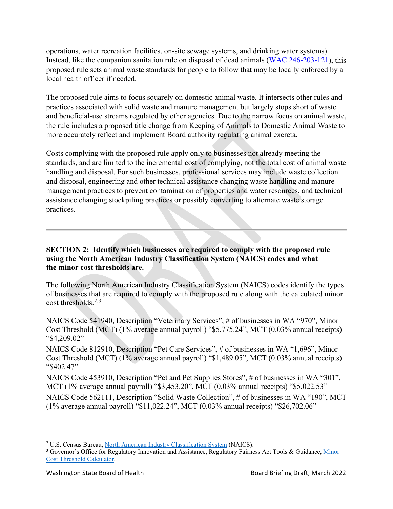operations, water recreation facilities, on-site sewage systems, and drinking water systems). Instead, like the companion sanitation rule on disposal of dead animals [\(WAC 246-203-121\)](https://apps.leg.wa.gov/WAC/default.aspx?cite=246-203-121), this proposed rule sets animal waste standards for people to follow that may be locally enforced by a local health officer if needed.

The proposed rule aims to focus squarely on domestic animal waste. It intersects other rules and practices associated with solid waste and manure management but largely stops short of waste and beneficial-use streams regulated by other agencies. Due to the narrow focus on animal waste, the rule includes a proposed title change from Keeping of Animals to Domestic Animal Waste to more accurately reflect and implement Board authority regulating animal excreta.

Costs complying with the proposed rule apply only to businesses not already meeting the standards, and are limited to the incremental cost of complying, not the total cost of animal waste handling and disposal. For such businesses, professional services may include waste collection and disposal, engineering and other technical assistance changing waste handling and manure management practices to prevent contamination of properties and water resources, and technical assistance changing stockpiling practices or possibly converting to alternate waste storage practices.

#### **SECTION 2: Identify which businesses are required to comply with the proposed rule using the North American Industry Classification System (NAICS) codes and what the minor cost thresholds are.**

The following North American Industry Classification System (NAICS) codes identify the types of businesses that are required to comply with the proposed rule along with the calculated minor cost thresholds. [2](#page-2-0),[3](#page-2-1)

NAICS Code 541940, Description "Veterinary Services", # of businesses in WA "970", Minor Cost Threshold (MCT) (1% average annual payroll) "\$5,775.24", MCT (0.03% annual receipts) "\$4,209.02"

NAICS Code 812910, Description "Pet Care Services", # of businesses in WA "1,696", Minor Cost Threshold (MCT) (1% average annual payroll) "\$1,489.05", MCT (0.03% annual receipts) "\$402.47"

NAICS Code 453910, Description "Pet and Pet Supplies Stores", # of businesses in WA "301", MCT (1% average annual payroll) "\$3,453.20", MCT (0.03% annual receipts) "\$5,022.53"

NAICS Code 562111, Description "Solid Waste Collection", # of businesses in WA "190", MCT (1% average annual payroll) "\$11,022.24", MCT (0.03% annual receipts) "\$26,702.06"

<span id="page-2-0"></span><sup>2</sup> U.S. Census Bureau, [North American Industry Classification System](https://www.census.gov/naics/) (NAICS).

<span id="page-2-1"></span><sup>&</sup>lt;sup>3</sup> Governor's Office for Regulatory Innovation and Assistance, Regulatory Fairness Act Tools & Guidance, Minor [Cost Threshold Calculator.](https://www.oria.wa.gov/Portals/_oria/VersionedDocuments/RFA/Regulatory_Fairness_Act/Minor-Cost-Threshold-Calculator.xlsm)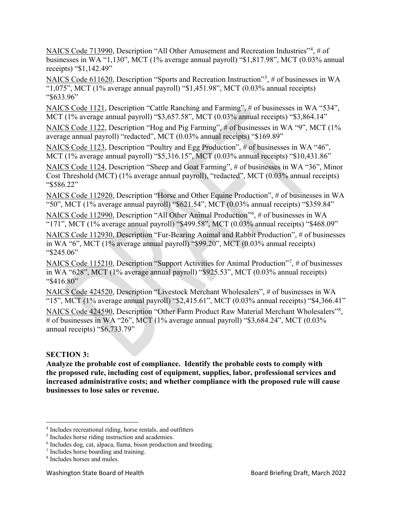NAICS Code 713990, Description "All Other Amusement and Recreation Industries"<sup>[4](#page-3-0)</sup>, # of businesses in WA "1,130", MCT (1% average annual payroll) "\$1,817.98", MCT (0.03% annual receipts) "\$1,142.49"

NAICS Code 611620, Description "Sports and Recreation Instruction"<sup>[5](#page-3-1)</sup>, # of businesses in WA " $1,075$ ", MCT (1% average annual payroll) "\$1,451.98", MCT (0.03% annual receipts) "\$633.96"

NAICS Code 1121, Description "Cattle Ranching and Farming", # of businesses in WA "534", MCT (1% average annual payroll) "\$3,657.58", MCT (0.03% annual receipts) "\$3,864.14"

NAICS Code 1122, Description "Hog and Pig Farming", # of businesses in WA "9", MCT (1% average annual payroll) "redacted", MCT (0.03% annual receipts) "\$169.89"

NAICS Code 1123, Description "Poultry and Egg Production", # of businesses in WA "46", MCT (1% average annual payroll) "\$5,316.15", MCT (0.03% annual receipts) "\$10,431.86"

NAICS Code 1124, Description "Sheep and Goat Farming", # of businesses in WA "36", Minor Cost Threshold (MCT) (1% average annual payroll), "redacted", MCT (0.03% annual receipts) "\$586.22"

NAICS Code 112920, Description "Horse and Other Equine Production", # of businesses in WA "50", MCT (1% average annual payroll) "\$621.54", MCT (0.03% annual receipts) "\$359.84"

NAICS Code 112990, Description "All Other Animal Production"<sup>[6](#page-3-2)</sup>, # of businesses in WA "171", MCT (1% average annual payroll) "\$499.58", MCT (0.03% annual receipts) "\$468.09"

NAICS Code 112930, Description "Fur-Bearing Animal and Rabbit Production", # of businesses in WA "6", MCT (1% average annual payroll) "\$99.20", MCT (0.03% annual receipts) "\$245.06"

NAICS Code 115210, Description "Support Activities for Animal Production"<sup>[7](#page-3-3)</sup>, # of businesses in WA "628", MCT (1% average annual payroll) "\$925.53", MCT (0.03% annual receipts) "\$416.80"

NAICS Code 424520, Description "Livestock Merchant Wholesalers", # of businesses in WA "15", MCT (1% average annual payroll) "\$2,415.61", MCT (0.03% annual receipts) "\$4,366.41"

NAICS Code 424590, Description "Other Farm Product Raw Material Merchant Wholesalers"<sup>[8](#page-3-4)</sup>, # of businesses in WA "26", MCT (1% average annual payroll) "\$3,684.24", MCT (0.03% annual receipts) "\$6,733.79"

#### **SECTION 3:**

**Analyze the probable cost of compliance. Identify the probable costs to comply with the proposed rule, including cost of equipment, supplies, labor, professional services and increased administrative costs; and whether compliance with the proposed rule will cause businesses to lose sales or revenue.**

<span id="page-3-0"></span><sup>4</sup> Includes recreational riding, horse rentals, and outfitters

<span id="page-3-1"></span><sup>5</sup> Includes horse riding instruction and academies.

<span id="page-3-2"></span><sup>6</sup> Includes dog, cat, alpaca, llama, bison production and breeding.

<span id="page-3-3"></span><sup>7</sup> Includes horse boarding and training.

<span id="page-3-4"></span><sup>8</sup> Includes horses and mules.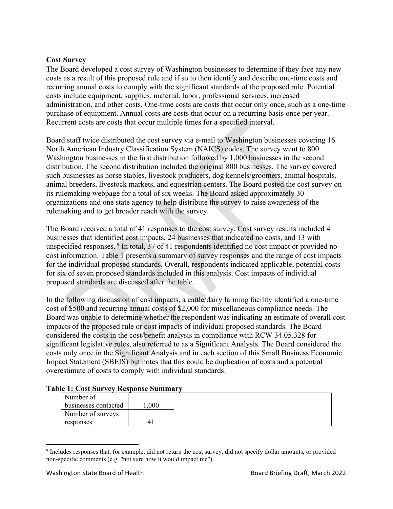#### **Cost Survey**

The Board developed a cost survey of Washington businesses to determine if they face any new costs as a result of this proposed rule and if so to then identify and describe one-time costs and recurring annual costs to comply with the significant standards of the proposed rule. Potential costs include equipment, supplies, material, labor, professional services, increased administration, and other costs. One-time costs are costs that occur only once, such as a one-time purchase of equipment. Annual costs are costs that occur on a recurring basis once per year. Recurrent costs are costs that occur multiple times for a specified interval.

Board staff twice distributed the cost survey via e-mail to Washington businesses covering 16 North American Industry Classification System (NAICS) codes. The survey went to 800 Washington businesses in the first distribution followed by 1,000 businesses in the second distribution. The second distribution included the original 800 businesses. The survey covered such businesses as horse stables, livestock producers, dog kennels/groomers, animal hospitals, animal breeders, livestock markets, and equestrian centers. The Board posted the cost survey on its rulemaking webpage for a total of six weeks. The Board asked approximately 30 organizations and one state agency to help distribute the survey to raise awareness of the rulemaking and to get broader reach with the survey.

The Board received a total of 41 responses to the cost survey. Cost survey results included 4 businesses that identified cost impacts, 24 businesses that indicated no costs, and 13 with unspecified responses. [9](#page-4-0) In total, 37 of 41 respondents identified no cost impact or provided no cost information. Table 1 presents a summary of survey responses and the range of cost impacts for the individual proposed standards. Overall, respondents indicated applicable, potential costs for six of seven proposed standards included in this analysis. Cost impacts of individual proposed standards are discussed after the table.

In the following discussion of cost impacts, a cattle/dairy farming facility identified a one-time cost of \$500 and recurring annual costs of \$2,000 for miscellaneous compliance needs. The Board was unable to determine whether the respondent was indicating an estimate of overall cost impacts of the proposed rule or cost impacts of individual proposed standards. The Board considered the costs in the cost/benefit analysis in compliance with RCW 34.05.328 for significant legislative rules, also referred to as a Significant Analysis. The Board considered the costs only once in the Significant Analysis and in each section of this Small Business Economic Impact Statement (SBEIS) but notes that this could be duplication of costs and a potential overestimate of costs to comply with individual standards.

|  |  |  |  |  |  | Table 1: Cost Survey Response Summary |  |
|--|--|--|--|--|--|---------------------------------------|--|
|--|--|--|--|--|--|---------------------------------------|--|

| Number of            |       |
|----------------------|-------|
| businesses contacted | 1,000 |
| Number of surveys    |       |
| responses            |       |

<span id="page-4-0"></span><sup>&</sup>lt;sup>9</sup> Includes responses that, for example, did not return the cost survey, did not specify dollar amounts, or provided non-specific comments (e.g. "not sure how it would impact me").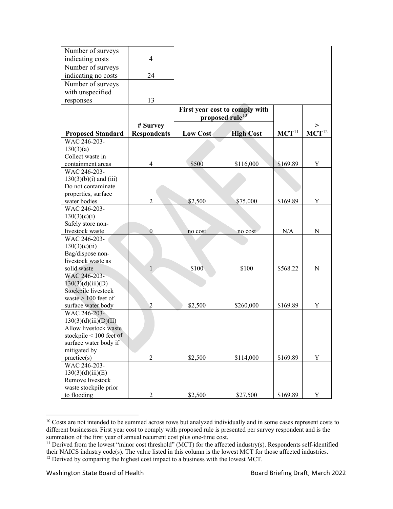| Number of surveys                              |                          |                                |                  |            |                     |
|------------------------------------------------|--------------------------|--------------------------------|------------------|------------|---------------------|
| indicating costs                               | $\overline{\mathcal{L}}$ |                                |                  |            |                     |
| Number of surveys                              |                          |                                |                  |            |                     |
| indicating no costs                            | 24                       |                                |                  |            |                     |
| Number of surveys                              |                          |                                |                  |            |                     |
| with unspecified                               |                          |                                |                  |            |                     |
|                                                | 13                       |                                |                  |            |                     |
| responses                                      |                          |                                |                  |            |                     |
|                                                |                          | First year cost to comply with |                  |            |                     |
|                                                |                          | proposed rule <sup>10</sup>    |                  |            |                     |
|                                                | # Survey                 |                                |                  |            |                     |
| <b>Proposed Standard</b>                       | <b>Respondents</b>       | <b>Low Cost</b>                | <b>High Cost</b> | $MCT^{11}$ | $\mathbf{MCT}^{12}$ |
| WAC 246-203-                                   |                          |                                |                  |            |                     |
| 130(3)(a)                                      |                          |                                |                  |            |                     |
| Collect waste in                               | 4                        | \$500                          |                  |            | Y                   |
| containment areas<br>WAC 246-203-              |                          |                                | \$116,000        | \$169.89   |                     |
| $130(3)(b)(i)$ and (iii)                       |                          |                                |                  |            |                     |
| Do not contaminate                             |                          |                                |                  |            |                     |
| properties, surface                            |                          |                                |                  |            |                     |
| water bodies                                   | $\overline{c}$           | \$2,500                        | \$75,000         | \$169.89   | Y                   |
| WAC 246-203-                                   |                          |                                |                  |            |                     |
| 130(3)(c)(i)                                   |                          |                                |                  |            |                     |
| Safely store non-                              |                          |                                |                  |            |                     |
| livestock waste                                | $\theta$                 | no cost                        | no cost          | N/A        | N                   |
| WAC 246-203-                                   |                          |                                |                  |            |                     |
| 130(3)(c)(ii)                                  |                          |                                |                  |            |                     |
| Bag/dispose non-                               |                          |                                |                  |            |                     |
| livestock waste as                             |                          |                                |                  |            |                     |
| solid waste                                    | $\mathbf{1}$             | \$100                          | \$100            | \$568.22   | N                   |
| WAC 246-203-                                   |                          |                                |                  |            |                     |
| 130(3)(d)(iii)(D)                              |                          |                                |                  |            |                     |
| Stockpile livestock                            |                          |                                |                  |            |                     |
| waste $> 100$ feet of                          |                          |                                |                  |            |                     |
| surface water body                             | $\overline{c}$           | \$2,500                        | \$260,000        | \$169.89   | Y                   |
| WAC 246-203-                                   |                          |                                |                  |            |                     |
| 130(3)(d)(iii)(D)(II)<br>Allow livestock waste |                          |                                |                  |            |                     |
| stockpile $\leq 100$ feet of                   |                          |                                |                  |            |                     |
| surface water body if                          |                          |                                |                  |            |                     |
| mitigated by                                   |                          |                                |                  |            |                     |
| practice(s)                                    | $\overline{c}$           | \$2,500                        | \$114,000        | \$169.89   | Y                   |
| WAC 246-203-                                   |                          |                                |                  |            |                     |
| 130(3)(d)(iii)(E)                              |                          |                                |                  |            |                     |
| Remove livestock                               |                          |                                |                  |            |                     |
| waste stockpile prior                          |                          |                                |                  |            |                     |
| to flooding                                    | $\overline{2}$           | \$2,500                        | \$27,500         | \$169.89   | Y                   |

<span id="page-5-0"></span><sup>&</sup>lt;sup>10</sup> Costs are not intended to be summed across rows but analyzed individually and in some cases represent costs to different businesses. First year cost to comply with proposed rule is presented per survey respondent and is the summation of the first year of annual recurrent cost plus one-time cost.

<span id="page-5-2"></span><span id="page-5-1"></span><sup>&</sup>lt;sup>11</sup> Derived from the lowest "minor cost threshold" (MCT) for the affected industry(s). Respondents self-identified their NAICS industry code(s). The value listed in this column is the lowest MCT for those affected industries. <sup>12</sup> Derived by comparing the highest cost impact to a business with the lowest MCT.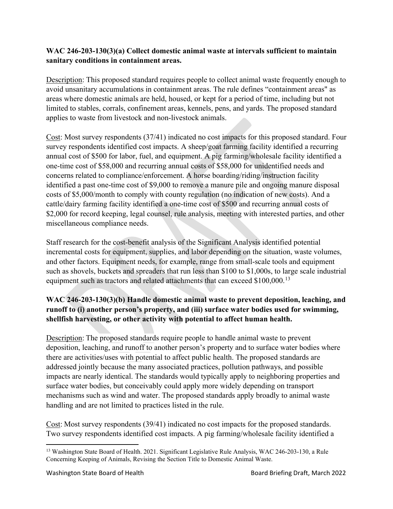## **WAC 246-203-130(3)(a) Collect domestic animal waste at intervals sufficient to maintain sanitary conditions in containment areas.**

Description: This proposed standard requires people to collect animal waste frequently enough to avoid unsanitary accumulations in containment areas. The rule defines "containment areas" as areas where domestic animals are held, housed, or kept for a period of time, including but not limited to stables, corrals, confinement areas, kennels, pens, and yards. The proposed standard applies to waste from livestock and non-livestock animals.

Cost: Most survey respondents (37/41) indicated no cost impacts for this proposed standard. Four survey respondents identified cost impacts. A sheep/goat farming facility identified a recurring annual cost of \$500 for labor, fuel, and equipment. A pig farming/wholesale facility identified a one-time cost of \$58,000 and recurring annual costs of \$58,000 for unidentified needs and concerns related to compliance/enforcement. A horse boarding/riding/instruction facility identified a past one-time cost of \$9,000 to remove a manure pile and ongoing manure disposal costs of \$5,000/month to comply with county regulation (no indication of new costs). And a cattle/dairy farming facility identified a one-time cost of \$500 and recurring annual costs of \$2,000 for record keeping, legal counsel, rule analysis, meeting with interested parties, and other miscellaneous compliance needs.

Staff research for the cost-benefit analysis of the Significant Analysis identified potential incremental costs for equipment, supplies, and labor depending on the situation, waste volumes, and other factors. Equipment needs, for example, range from small-scale tools and equipment such as shovels, buckets and spreaders that run less than \$100 to \$1,000s, to large scale industrial equipment such as tractors and related attachments that can exceed \$100,000.<sup>[13](#page-6-0)</sup>

# **WAC 246-203-130(3)(b) Handle domestic animal waste to prevent deposition, leaching, and runoff to (i) another person's property, and (iii) surface water bodies used for swimming, shellfish harvesting, or other activity with potential to affect human health.**

Description: The proposed standards require people to handle animal waste to prevent deposition, leaching, and runoff to another person's property and to surface water bodies where there are activities/uses with potential to affect public health. The proposed standards are addressed jointly because the many associated practices, pollution pathways, and possible impacts are nearly identical. The standards would typically apply to neighboring properties and surface water bodies, but conceivably could apply more widely depending on transport mechanisms such as wind and water. The proposed standards apply broadly to animal waste handling and are not limited to practices listed in the rule.

Cost: Most survey respondents (39/41) indicated no cost impacts for the proposed standards. Two survey respondents identified cost impacts. A pig farming/wholesale facility identified a

<span id="page-6-0"></span><sup>&</sup>lt;sup>13</sup> Washington State Board of Health. 2021. Significant Legislative Rule Analysis, WAC 246-203-130, a Rule Concerning Keeping of Animals, Revising the Section Title to Domestic Animal Waste.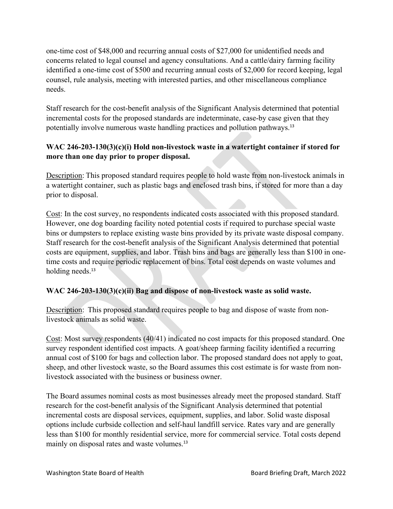one-time cost of \$48,000 and recurring annual costs of \$27,000 for unidentified needs and concerns related to legal counsel and agency consultations. And a cattle/dairy farming facility identified a one-time cost of \$500 and recurring annual costs of \$2,000 for record keeping, legal counsel, rule analysis, meeting with interested parties, and other miscellaneous compliance needs.

Staff research for the cost-benefit analysis of the Significant Analysis determined that potential incremental costs for the proposed standards are indeterminate, case-by case given that they potentially involve numerous waste handling practices and pollution pathways.<sup>13</sup>

# **WAC 246-203-130(3)(c)(i) Hold non-livestock waste in a watertight container if stored for more than one day prior to proper disposal.**

Description: This proposed standard requires people to hold waste from non-livestock animals in a watertight container, such as plastic bags and enclosed trash bins, if stored for more than a day prior to disposal.

Cost: In the cost survey, no respondents indicated costs associated with this proposed standard. However, one dog boarding facility noted potential costs if required to purchase special waste bins or dumpsters to replace existing waste bins provided by its private waste disposal company. Staff research for the cost-benefit analysis of the Significant Analysis determined that potential costs are equipment, supplies, and labor. Trash bins and bags are generally less than \$100 in onetime costs and require periodic replacement of bins. Total cost depends on waste volumes and holding needs. 13

## **WAC 246-203-130(3)(c)(ii) Bag and dispose of non-livestock waste as solid waste.**

Description: This proposed standard requires people to bag and dispose of waste from nonlivestock animals as solid waste.

Cost: Most survey respondents (40/41) indicated no cost impacts for this proposed standard. One survey respondent identified cost impacts. A goat/sheep farming facility identified a recurring annual cost of \$100 for bags and collection labor. The proposed standard does not apply to goat, sheep, and other livestock waste, so the Board assumes this cost estimate is for waste from nonlivestock associated with the business or business owner.

The Board assumes nominal costs as most businesses already meet the proposed standard. Staff research for the cost-benefit analysis of the Significant Analysis determined that potential incremental costs are disposal services, equipment, supplies, and labor. Solid waste disposal options include curbside collection and self-haul landfill service. Rates vary and are generally less than \$100 for monthly residential service, more for commercial service. Total costs depend mainly on disposal rates and waste volumes.<sup>13</sup>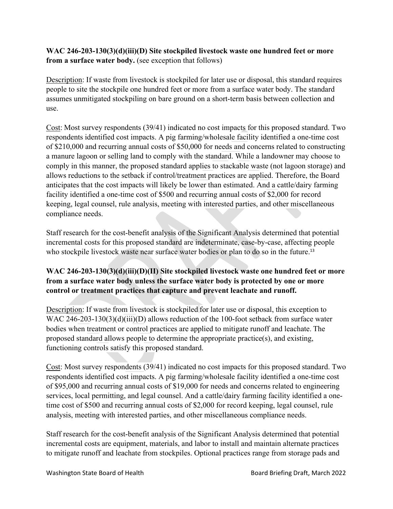## **WAC 246-203-130(3)(d)(iii)(D) Site stockpiled livestock waste one hundred feet or more from a surface water body.** (see exception that follows)

Description: If waste from livestock is stockpiled for later use or disposal, this standard requires people to site the stockpile one hundred feet or more from a surface water body. The standard assumes unmitigated stockpiling on bare ground on a short-term basis between collection and use.

Cost: Most survey respondents (39/41) indicated no cost impacts for this proposed standard. Two respondents identified cost impacts. A pig farming/wholesale facility identified a one-time cost of \$210,000 and recurring annual costs of \$50,000 for needs and concerns related to constructing a manure lagoon or selling land to comply with the standard. While a landowner may choose to comply in this manner, the proposed standard applies to stackable waste (not lagoon storage) and allows reductions to the setback if control/treatment practices are applied. Therefore, the Board anticipates that the cost impacts will likely be lower than estimated. And a cattle/dairy farming facility identified a one-time cost of \$500 and recurring annual costs of \$2,000 for record keeping, legal counsel, rule analysis, meeting with interested parties, and other miscellaneous compliance needs.

Staff research for the cost-benefit analysis of the Significant Analysis determined that potential incremental costs for this proposed standard are indeterminate, case-by-case, affecting people who stockpile livestock waste near surface water bodies or plan to do so in the future.<sup>13</sup>

# **WAC 246-203-130(3)(d)(iii)(D)(II) Site stockpiled livestock waste one hundred feet or more from a surface water body unless the surface water body is protected by one or more control or treatment practices that capture and prevent leachate and runoff.**

Description: If waste from livestock is stockpiled for later use or disposal, this exception to WAC 246-203-130(3)(d)(iii)(D) allows reduction of the 100-foot setback from surface water bodies when treatment or control practices are applied to mitigate runoff and leachate. The proposed standard allows people to determine the appropriate practice(s), and existing, functioning controls satisfy this proposed standard.

Cost: Most survey respondents (39/41) indicated no cost impacts for this proposed standard. Two respondents identified cost impacts. A pig farming/wholesale facility identified a one-time cost of \$95,000 and recurring annual costs of \$19,000 for needs and concerns related to engineering services, local permitting, and legal counsel. And a cattle/dairy farming facility identified a onetime cost of \$500 and recurring annual costs of \$2,000 for record keeping, legal counsel, rule analysis, meeting with interested parties, and other miscellaneous compliance needs.

Staff research for the cost-benefit analysis of the Significant Analysis determined that potential incremental costs are equipment, materials, and labor to install and maintain alternate practices to mitigate runoff and leachate from stockpiles. Optional practices range from storage pads and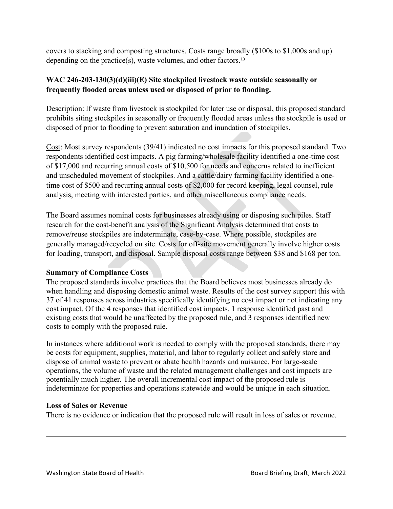covers to stacking and composting structures. Costs range broadly (\$100s to \$1,000s and up) depending on the practice(s), waste volumes, and other factors.<sup>13</sup>

## **WAC 246-203-130(3)(d)(iii)(E) Site stockpiled livestock waste outside seasonally or frequently flooded areas unless used or disposed of prior to flooding.**

Description: If waste from livestock is stockpiled for later use or disposal, this proposed standard prohibits siting stockpiles in seasonally or frequently flooded areas unless the stockpile is used or disposed of prior to flooding to prevent saturation and inundation of stockpiles.

Cost: Most survey respondents (39/41) indicated no cost impacts for this proposed standard. Two respondents identified cost impacts. A pig farming/wholesale facility identified a one-time cost of \$17,000 and recurring annual costs of \$10,500 for needs and concerns related to inefficient and unscheduled movement of stockpiles. And a cattle/dairy farming facility identified a onetime cost of \$500 and recurring annual costs of \$2,000 for record keeping, legal counsel, rule analysis, meeting with interested parties, and other miscellaneous compliance needs.

The Board assumes nominal costs for businesses already using or disposing such piles. Staff research for the cost-benefit analysis of the Significant Analysis determined that costs to remove/reuse stockpiles are indeterminate, case-by-case. Where possible, stockpiles are generally managed/recycled on site. Costs for off-site movement generally involve higher costs for loading, transport, and disposal. Sample disposal costs range between \$38 and \$168 per ton.

#### **Summary of Compliance Costs**

The proposed standards involve practices that the Board believes most businesses already do when handling and disposing domestic animal waste. Results of the cost survey support this with 37 of 41 responses across industries specifically identifying no cost impact or not indicating any cost impact. Of the 4 responses that identified cost impacts, 1 response identified past and existing costs that would be unaffected by the proposed rule, and 3 responses identified new costs to comply with the proposed rule.

In instances where additional work is needed to comply with the proposed standards, there may be costs for equipment, supplies, material, and labor to regularly collect and safely store and dispose of animal waste to prevent or abate health hazards and nuisance. For large-scale operations, the volume of waste and the related management challenges and cost impacts are potentially much higher. The overall incremental cost impact of the proposed rule is indeterminate for properties and operations statewide and would be unique in each situation.

#### **Loss of Sales or Revenue**

There is no evidence or indication that the proposed rule will result in loss of sales or revenue.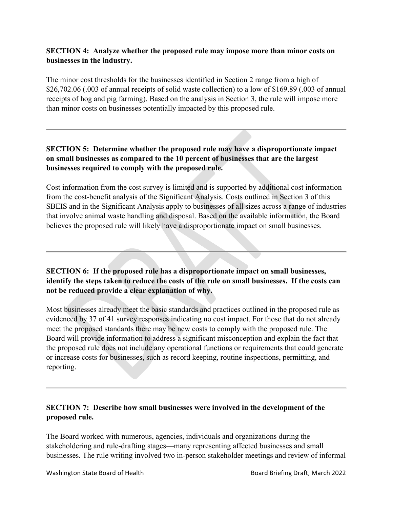## **SECTION 4: Analyze whether the proposed rule may impose more than minor costs on businesses in the industry.**

The minor cost thresholds for the businesses identified in Section 2 range from a high of \$26,702.06 (.003 of annual receipts of solid waste collection) to a low of \$169.89 (.003 of annual receipts of hog and pig farming). Based on the analysis in Section 3, the rule will impose more than minor costs on businesses potentially impacted by this proposed rule.

## **SECTION 5: Determine whether the proposed rule may have a disproportionate impact on small businesses as compared to the 10 percent of businesses that are the largest businesses required to comply with the proposed rule.**

Cost information from the cost survey is limited and is supported by additional cost information from the cost-benefit analysis of the Significant Analysis. Costs outlined in Section 3 of this SBEIS and in the Significant Analysis apply to businesses of all sizes across a range of industries that involve animal waste handling and disposal. Based on the available information, the Board believes the proposed rule will likely have a disproportionate impact on small businesses.

**SECTION 6: If the proposed rule has a disproportionate impact on small businesses, identify the steps taken to reduce the costs of the rule on small businesses. If the costs can not be reduced provide a clear explanation of why.**

Most businesses already meet the basic standards and practices outlined in the proposed rule as evidenced by 37 of 41 survey responses indicating no cost impact. For those that do not already meet the proposed standards there may be new costs to comply with the proposed rule. The Board will provide information to address a significant misconception and explain the fact that the proposed rule does not include any operational functions or requirements that could generate or increase costs for businesses, such as record keeping, routine inspections, permitting, and reporting.

## **SECTION 7: Describe how small businesses were involved in the development of the proposed rule.**

The Board worked with numerous, agencies, individuals and organizations during the stakeholdering and rule-drafting stages—many representing affected businesses and small businesses. The rule writing involved two in-person stakeholder meetings and review of informal